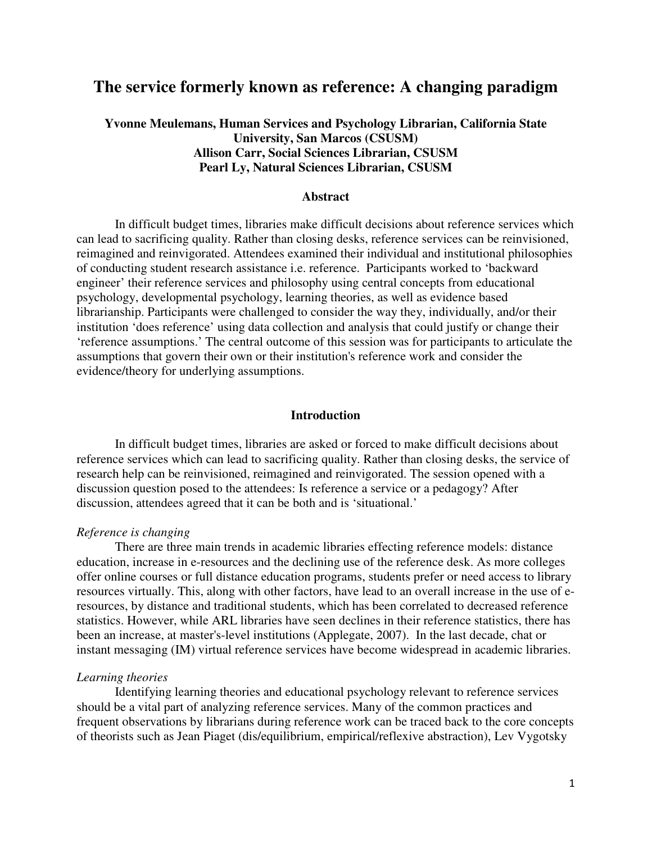# **The service formerly known as reference: A changing paradigm**

## **Yvonne Meulemans, Human Services and Psychology Librarian, California State University, San Marcos (CSUSM) Allison Carr, Social Sciences Librarian, CSUSM Pearl Ly, Natural Sciences Librarian, CSUSM**

#### **Abstract**

In difficult budget times, libraries make difficult decisions about reference services which can lead to sacrificing quality. Rather than closing desks, reference services can be reinvisioned, reimagined and reinvigorated. Attendees examined their individual and institutional philosophies of conducting student research assistance i.e. reference. Participants worked to 'backward engineer' their reference services and philosophy using central concepts from educational psychology, developmental psychology, learning theories, as well as evidence based librarianship. Participants were challenged to consider the way they, individually, and/or their institution 'does reference' using data collection and analysis that could justify or change their 'reference assumptions.' The central outcome of this session was for participants to articulate the assumptions that govern their own or their institution's reference work and consider the evidence/theory for underlying assumptions.

## **Introduction**

In difficult budget times, libraries are asked or forced to make difficult decisions about reference services which can lead to sacrificing quality. Rather than closing desks, the service of research help can be reinvisioned, reimagined and reinvigorated. The session opened with a discussion question posed to the attendees: Is reference a service or a pedagogy? After discussion, attendees agreed that it can be both and is 'situational.'

## *Reference is changing*

There are three main trends in academic libraries effecting reference models: distance education, increase in e-resources and the declining use of the reference desk. As more colleges offer online courses or full distance education programs, students prefer or need access to library resources virtually. This, along with other factors, have lead to an overall increase in the use of eresources, by distance and traditional students, which has been correlated to decreased reference statistics. However, while ARL libraries have seen declines in their reference statistics, there has been an increase, at master's-level institutions (Applegate, 2007). In the last decade, chat or instant messaging (IM) virtual reference services have become widespread in academic libraries.

#### *Learning theories*

Identifying learning theories and educational psychology relevant to reference services should be a vital part of analyzing reference services. Many of the common practices and frequent observations by librarians during reference work can be traced back to the core concepts of theorists such as Jean Piaget (dis/equilibrium, empirical/reflexive abstraction), Lev Vygotsky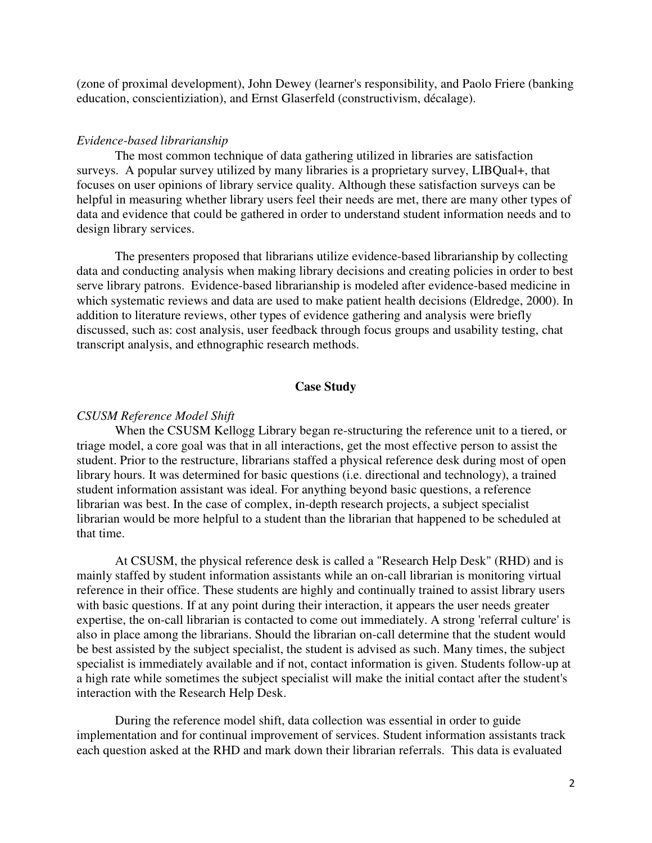(zone of proximal development), John Dewey (learner's responsibility, and Paolo Friere (banking education, conscientiziation), and Ernst Glaserfeld (constructivism, décalage).

#### *Evidence-based librarianship*

The most common technique of data gathering utilized in libraries are satisfaction surveys. A popular survey utilized by many libraries is a proprietary survey, LIBQual+, that focuses on user opinions of library service quality. Although these satisfaction surveys can be helpful in measuring whether library users feel their needs are met, there are many other types of data and evidence that could be gathered in order to understand student information needs and to design library services.

The presenters proposed that librarians utilize evidence-based librarianship by collecting data and conducting analysis when making library decisions and creating policies in order to best serve library patrons. Evidence-based librarianship is modeled after evidence-based medicine in which systematic reviews and data are used to make patient health decisions (Eldredge, 2000). In addition to literature reviews, other types of evidence gathering and analysis were briefly discussed, such as: cost analysis, user feedback through focus groups and usability testing, chat transcript analysis, and ethnographic research methods.

## **Case Study**

#### *CSUSM Reference Model Shift*

When the CSUSM Kellogg Library began re-structuring the reference unit to a tiered, or triage model, a core goal was that in all interactions, get the most effective person to assist the student. Prior to the restructure, librarians staffed a physical reference desk during most of open library hours. It was determined for basic questions (i.e. directional and technology), a trained student information assistant was ideal. For anything beyond basic questions, a reference librarian was best. In the case of complex, in-depth research projects, a subject specialist librarian would be more helpful to a student than the librarian that happened to be scheduled at that time.

At CSUSM, the physical reference desk is called a "Research Help Desk" (RHD) and is mainly staffed by student information assistants while an on-call librarian is monitoring virtual reference in their office. These students are highly and continually trained to assist library users with basic questions. If at any point during their interaction, it appears the user needs greater expertise, the on-call librarian is contacted to come out immediately. A strong 'referral culture' is also in place among the librarians. Should the librarian on-call determine that the student would be best assisted by the subject specialist, the student is advised as such. Many times, the subject specialist is immediately available and if not, contact information is given. Students follow-up at a high rate while sometimes the subject specialist will make the initial contact after the student's interaction with the Research Help Desk.

During the reference model shift, data collection was essential in order to guide implementation and for continual improvement of services. Student information assistants track each question asked at the RHD and mark down their librarian referrals. This data is evaluated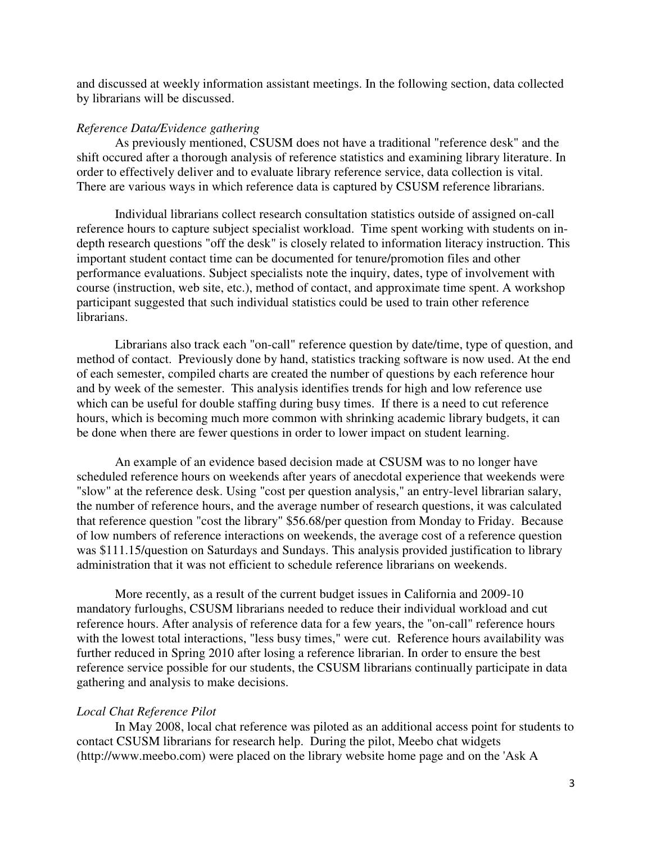and discussed at weekly information assistant meetings. In the following section, data collected by librarians will be discussed.

## *Reference Data/Evidence gathering*

As previously mentioned, CSUSM does not have a traditional "reference desk" and the shift occured after a thorough analysis of reference statistics and examining library literature. In order to effectively deliver and to evaluate library reference service, data collection is vital. There are various ways in which reference data is captured by CSUSM reference librarians.

Individual librarians collect research consultation statistics outside of assigned on-call reference hours to capture subject specialist workload. Time spent working with students on indepth research questions "off the desk" is closely related to information literacy instruction. This important student contact time can be documented for tenure/promotion files and other performance evaluations. Subject specialists note the inquiry, dates, type of involvement with course (instruction, web site, etc.), method of contact, and approximate time spent. A workshop participant suggested that such individual statistics could be used to train other reference librarians.

Librarians also track each "on-call" reference question by date/time, type of question, and method of contact. Previously done by hand, statistics tracking software is now used. At the end of each semester, compiled charts are created the number of questions by each reference hour and by week of the semester. This analysis identifies trends for high and low reference use which can be useful for double staffing during busy times. If there is a need to cut reference hours, which is becoming much more common with shrinking academic library budgets, it can be done when there are fewer questions in order to lower impact on student learning.

An example of an evidence based decision made at CSUSM was to no longer have scheduled reference hours on weekends after years of anecdotal experience that weekends were "slow" at the reference desk. Using "cost per question analysis," an entry-level librarian salary, the number of reference hours, and the average number of research questions, it was calculated that reference question "cost the library" \$56.68/per question from Monday to Friday. Because of low numbers of reference interactions on weekends, the average cost of a reference question was \$111.15/question on Saturdays and Sundays. This analysis provided justification to library administration that it was not efficient to schedule reference librarians on weekends.

More recently, as a result of the current budget issues in California and 2009-10 mandatory furloughs, CSUSM librarians needed to reduce their individual workload and cut reference hours. After analysis of reference data for a few years, the "on-call" reference hours with the lowest total interactions, "less busy times," were cut. Reference hours availability was further reduced in Spring 2010 after losing a reference librarian. In order to ensure the best reference service possible for our students, the CSUSM librarians continually participate in data gathering and analysis to make decisions.

### *Local Chat Reference Pilot*

In May 2008, local chat reference was piloted as an additional access point for students to contact CSUSM librarians for research help. During the pilot, Meebo chat widgets (http://www.meebo.com) were placed on the library website home page and on the 'Ask A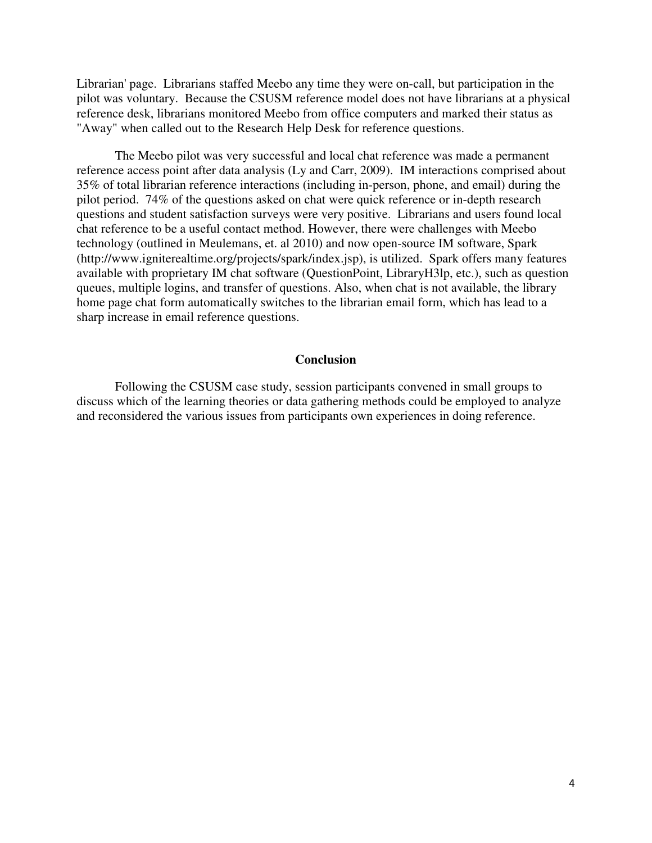Librarian' page. Librarians staffed Meebo any time they were on-call, but participation in the pilot was voluntary. Because the CSUSM reference model does not have librarians at a physical reference desk, librarians monitored Meebo from office computers and marked their status as "Away" when called out to the Research Help Desk for reference questions.

The Meebo pilot was very successful and local chat reference was made a permanent reference access point after data analysis (Ly and Carr, 2009). IM interactions comprised about 35% of total librarian reference interactions (including in-person, phone, and email) during the pilot period. 74% of the questions asked on chat were quick reference or in-depth research questions and student satisfaction surveys were very positive. Librarians and users found local chat reference to be a useful contact method. However, there were challenges with Meebo technology (outlined in Meulemans, et. al 2010) and now open-source IM software, Spark (http://www.igniterealtime.org/projects/spark/index.jsp), is utilized. Spark offers many features available with proprietary IM chat software (QuestionPoint, LibraryH3lp, etc.), such as question queues, multiple logins, and transfer of questions. Also, when chat is not available, the library home page chat form automatically switches to the librarian email form, which has lead to a sharp increase in email reference questions.

## **Conclusion**

Following the CSUSM case study, session participants convened in small groups to discuss which of the learning theories or data gathering methods could be employed to analyze and reconsidered the various issues from participants own experiences in doing reference.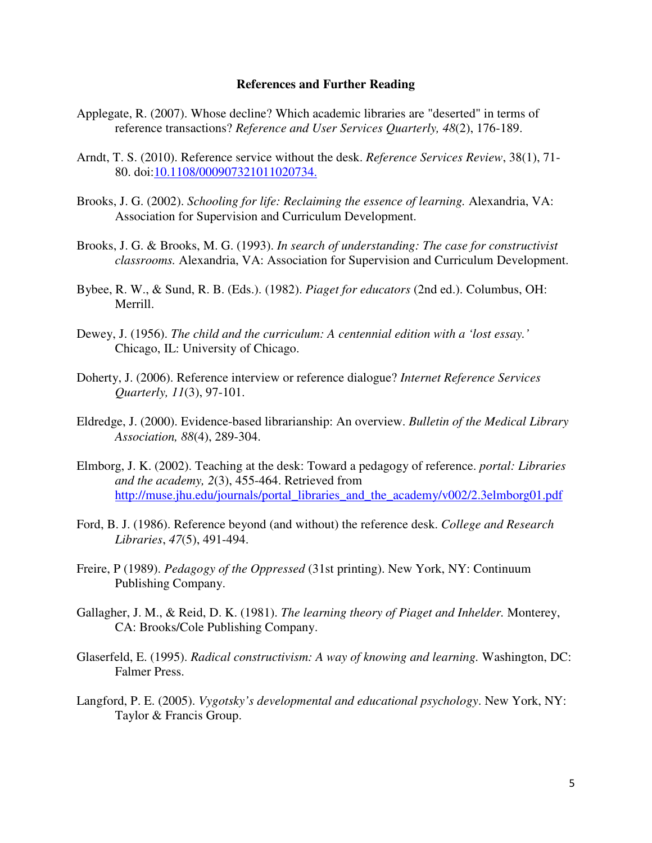#### **References and Further Reading**

- Applegate, R. (2007). Whose decline? Which academic libraries are "deserted" in terms of reference transactions? *Reference and User Services Quarterly, 48*(2), 176-189.
- Arndt, T. S. (2010). Reference service without the desk. *Reference Services Review*, 38(1), 71- 80. doi:10.1108/000907321011020734.
- Brooks, J. G. (2002). *Schooling for life: Reclaiming the essence of learning.* Alexandria, VA: Association for Supervision and Curriculum Development.
- Brooks, J. G. & Brooks, M. G. (1993). *In search of understanding: The case for constructivist classrooms.* Alexandria, VA: Association for Supervision and Curriculum Development.
- Bybee, R. W., & Sund, R. B. (Eds.). (1982). *Piaget for educators* (2nd ed.). Columbus, OH: Merrill.
- Dewey, J. (1956). *The child and the curriculum: A centennial edition with a 'lost essay.'* Chicago, IL: University of Chicago.
- Doherty, J. (2006). Reference interview or reference dialogue? *Internet Reference Services Quarterly, 11*(3), 97-101.
- Eldredge, J. (2000). Evidence-based librarianship: An overview. *Bulletin of the Medical Library Association, 88*(4), 289-304.
- Elmborg, J. K. (2002). Teaching at the desk: Toward a pedagogy of reference. *portal: Libraries and the academy, 2*(3), 455-464. Retrieved from http://muse.jhu.edu/journals/portal\_libraries\_and\_the\_academy/v002/2.3elmborg01.pdf
- Ford, B. J. (1986). Reference beyond (and without) the reference desk. *College and Research Libraries*, *47*(5), 491-494.
- Freire, P (1989). *Pedagogy of the Oppressed* (31st printing). New York, NY: Continuum Publishing Company.
- Gallagher, J. M., & Reid, D. K. (1981). *The learning theory of Piaget and Inhelder.* Monterey, CA: Brooks/Cole Publishing Company.
- Glaserfeld, E. (1995). *Radical constructivism: A way of knowing and learning.* Washington, DC: Falmer Press.
- Langford, P. E. (2005). *Vygotsky's developmental and educational psychology*. New York, NY: Taylor & Francis Group.